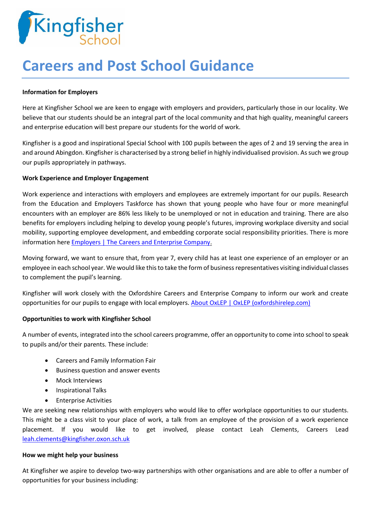

# **Careers and Post School Guidance**

#### **Information for Employers**

Here at Kingfisher School we are keen to engage with employers and providers, particularly those in our locality. We believe that our students should be an integral part of the local community and that high quality, meaningful careers and enterprise education will best prepare our students for the world of work.

Kingfisher is a good and inspirational Special School with 100 pupils between the ages of 2 and 19 serving the area in and around Abingdon. Kingfisher is characterised by a strong belief in highly individualised provision. As such we group our pupils appropriately in pathways.

### **Work Experience and Employer Engagement**

Work experience and interactions with employers and employees are extremely important for our pupils. Research from the Education and Employers Taskforce has shown that young people who have four or more meaningful encounters with an employer are 86% less likely to be unemployed or not in education and training. There are also benefits for employers including helping to develop young people's futures, improving workplace diversity and social mobility, supporting employee development, and embedding corporate social responsibility priorities. There is more information here [Employers | The Careers and Enterprise Company.](https://www.careersandenterprise.co.uk/employers/)

Moving forward, we want to ensure that, from year 7, every child has at least one experience of an employer or an employee in each school year. We would like this to take the form of business representatives visiting individual classes to complement the pupil's learning.

Kingfisher will work closely with the Oxfordshire Careers and Enterprise Company to inform our work and create opportunities for our pupils to engage with local employers[. About OxLEP | OxLEP \(oxfordshirelep.com\)](https://www.oxfordshirelep.com/about/about-oxlep)

## **Opportunities to work with Kingfisher School**

A number of events, integrated into the school careers programme, offer an opportunity to come into school to speak to pupils and/or their parents. These include:

- Careers and Family Information Fair
- Business question and answer events
- Mock Interviews
- Inspirational Talks
- Enterprise Activities

We are seeking new relationships with employers who would like to offer workplace opportunities to our students. This might be a class visit to your place of work, a talk from an employee of the provision of a work experience placement. If you would like to get involved, please contact Leah Clements, Careers Lead [leah.clements@kingfisher.oxon.sch.uk](mailto:leah.clements@kingfisher.oxon.sch.uk)

#### **How we might help your business**

At Kingfisher we aspire to develop two-way partnerships with other organisations and are able to offer a number of opportunities for your business including: